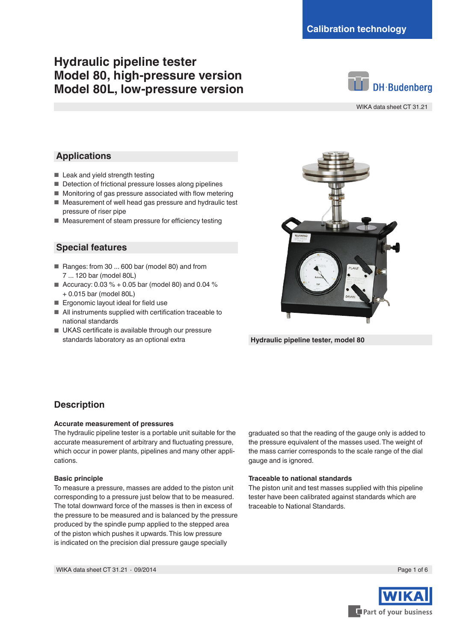# **Hydraulic pipeline tester Model 80, high-pressure version Model 80L, low-pressure version**



WIKA data sheet CT 31.21

#### **Applications**

- Leak and yield strength testing
- Detection of frictional pressure losses along pipelines
- Monitoring of gas pressure associated with flow metering
- Measurement of well head gas pressure and hydraulic test pressure of riser pipe
- Measurement of steam pressure for efficiency testing

#### **Special features**

- Ranges: from 30 ... 600 bar (model 80) and from 7 ... 120 bar (model 80L)
- Accuracy:  $0.03 % + 0.05$  bar (model 80) and 0.04 % + 0.015 bar (model 80L)
- Ergonomic layout ideal for field use
- All instruments supplied with certification traceable to national standards
- UKAS certificate is available through our pressure standards laboratory as an optional extra



**Hydraulic pipeline tester, model 80**

### **Description**

#### **Accurate measurement of pressures**

The hydraulic pipeline tester is a portable unit suitable for the accurate measurement of arbitrary and fluctuating pressure, which occur in power plants, pipelines and many other applications.

#### **Basic principle**

To measure a pressure, masses are added to the piston unit corresponding to a pressure just below that to be measured. The total downward force of the masses is then in excess of the pressure to be measured and is balanced by the pressure produced by the spindle pump applied to the stepped area of the piston which pushes it upwards. This low pressure is indicated on the precision dial pressure gauge specially

graduated so that the reading of the gauge only is added to the pressure equivalent of the masses used. The weight of the mass carrier corresponds to the scale range of the dial gauge and is ignored.

#### **Traceable to national standards**

The piston unit and test masses supplied with this pipeline tester have been calibrated against standards which are traceable to National Standards.

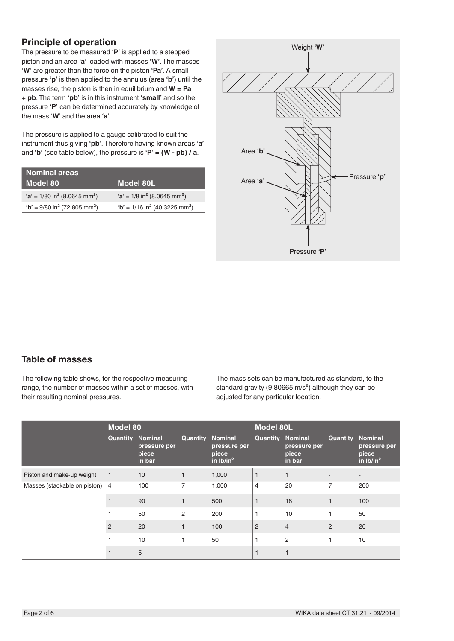## **Principle of operation**

The pressure to be measured **'P'** is applied to a stepped piston and an area **'a'** loaded with masses **'W'**. The masses **'W'** are greater than the force on the piston **'Pa'**. A small pressure **'p'** is then applied to the annulus (area **'b'**) until the masses rise, the piston is then in equilibrium and **W = Pa + pb**. The term **'pb'** is in this instrument **'small'** and so the pressure **'P'** can be determined accurately by knowledge of the mass **'W'** and the area **'a'**.

The pressure is applied to a gauge calibrated to suit the instrument thus giving **'pb'**. Therefore having known areas **'a'** and **'b'** (see table below), the pressure is **'P' = (W - pb) / a**.

| <b>Nominal areas</b>                                  |                                                        |
|-------------------------------------------------------|--------------------------------------------------------|
| Model 80'                                             | Model 80L                                              |
| $a' = 1/80$ in <sup>2</sup> (8.0645 mm <sup>2</sup> ) | $a' = 1/8$ in <sup>2</sup> (8.0645 mm <sup>2</sup> )   |
| $b' = 9/80$ in <sup>2</sup> (72.805 mm <sup>2</sup> ) | $b' = 1/16$ in <sup>2</sup> (40.3225 mm <sup>2</sup> ) |



## **Table of masses**

The following table shows, for the respective measuring range, the number of masses within a set of masses, with their resulting nominal pressures.

The mass sets can be manufactured as standard, to the standard gravity (9.80665 m/s<sup>2</sup>) although they can be adjusted for any particular location.

|                              | <b>Model 80</b> |                                                   |                         |                                      | <b>Model 80L</b>        |                                 |                |                                                        |
|------------------------------|-----------------|---------------------------------------------------|-------------------------|--------------------------------------|-------------------------|---------------------------------|----------------|--------------------------------------------------------|
|                              | Quantity        | <b>Nominal</b><br>pressure per<br>piece<br>in bar | <b>Quantity Nominal</b> | pressure per<br>piece<br>in $Ib/in2$ | <b>Quantity Nominal</b> | pressure per<br>piece<br>in bar | Quantity       | <b>Nominal</b><br>pressure per<br>piece<br>in $Ib/in2$ |
| Piston and make-up weight    | 1               | 10                                                | 1                       | 1,000                                | $\mathbf{1}$            | $\mathbf{1}$                    |                |                                                        |
| Masses (stackable on piston) | $\overline{4}$  | 100                                               | 7                       | 1,000                                | 4                       | 20                              | 7              | 200                                                    |
|                              |                 | 90                                                | $\mathbf{1}$            | 500                                  | 1                       | 18                              | $\mathbf{1}$   | 100                                                    |
|                              |                 | 50                                                | 2                       | 200                                  |                         | 10                              |                | 50                                                     |
|                              | 2               | 20                                                |                         | 100                                  | $\overline{2}$          | $\overline{4}$                  | $\overline{2}$ | 20                                                     |
|                              |                 | 10                                                |                         | 50                                   |                         | $\overline{2}$                  |                | 10                                                     |
|                              |                 | 5                                                 |                         |                                      |                         | ۰                               |                |                                                        |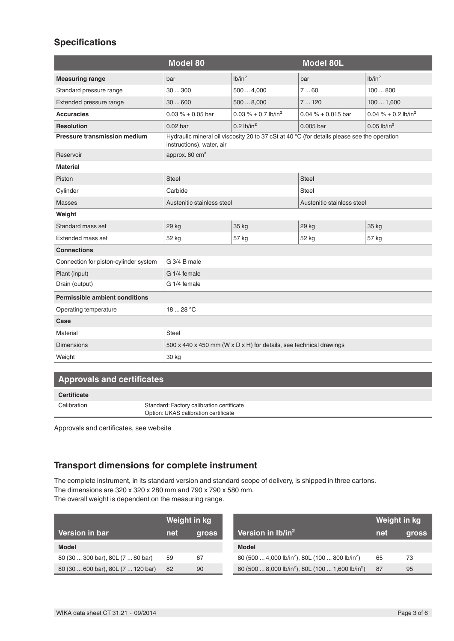## **Specifications**

|                                       | <b>Model 80</b>                                                                                                          |                                    | <b>Model 80L</b>           |                                    |  |
|---------------------------------------|--------------------------------------------------------------------------------------------------------------------------|------------------------------------|----------------------------|------------------------------------|--|
| <b>Measuring range</b>                | bar                                                                                                                      | lb/in <sup>2</sup>                 | bar                        | lb/in <sup>2</sup>                 |  |
| Standard pressure range               | 30300                                                                                                                    | 5004,000                           | 760                        | 100800                             |  |
| Extended pressure range               | 30600                                                                                                                    | 5008,000                           | 7120                       | 1001,600                           |  |
| <b>Accuracies</b>                     | $0.03\% + 0.05$ bar                                                                                                      | $0.03 \% + 0.7$ lb/in <sup>2</sup> | $0.04\% + 0.015$ bar       | $0.04 \% + 0.2$ lb/in <sup>2</sup> |  |
| <b>Resolution</b>                     | $0.02$ bar                                                                                                               | $0.2$ lb/in <sup>2</sup>           | 0.005 bar                  | $0.05$ lb/in <sup>2</sup>          |  |
| <b>Pressure transmission medium</b>   | Hydraulic mineral oil viscosity 20 to 37 cSt at 40 °C (for details please see the operation<br>instructions), water, air |                                    |                            |                                    |  |
| Reservoir                             | approx. 60 cm <sup>3</sup>                                                                                               |                                    |                            |                                    |  |
| <b>Material</b>                       |                                                                                                                          |                                    |                            |                                    |  |
| Piston                                | <b>Steel</b>                                                                                                             |                                    | <b>Steel</b>               |                                    |  |
| Cylinder                              | Carbide                                                                                                                  |                                    | Steel                      |                                    |  |
| <b>Masses</b>                         | Austenitic stainless steel                                                                                               |                                    | Austenitic stainless steel |                                    |  |
| Weight                                |                                                                                                                          |                                    |                            |                                    |  |
| Standard mass set                     | 29 kg                                                                                                                    | 35 kg                              | 29 kg                      | 35 kg                              |  |
| Extended mass set                     | 52 kg                                                                                                                    | 57 kg                              | 52 kg                      | 57 kg                              |  |
| <b>Connections</b>                    |                                                                                                                          |                                    |                            |                                    |  |
| Connection for piston-cylinder system | G 3/4 B male                                                                                                             |                                    |                            |                                    |  |
| Plant (input)                         | G 1/4 female                                                                                                             |                                    |                            |                                    |  |
| Drain (output)                        | G 1/4 female                                                                                                             |                                    |                            |                                    |  |
| <b>Permissible ambient conditions</b> |                                                                                                                          |                                    |                            |                                    |  |
| Operating temperature                 | 18  28 °C                                                                                                                |                                    |                            |                                    |  |
| Case                                  |                                                                                                                          |                                    |                            |                                    |  |
| Material                              | <b>Steel</b>                                                                                                             |                                    |                            |                                    |  |
| <b>Dimensions</b>                     | 500 x 440 x 450 mm (W x D x H) for details, see technical drawings                                                       |                                    |                            |                                    |  |
| Weight                                | 30 kg                                                                                                                    |                                    |                            |                                    |  |

### **Approvals and certificates**

| Certificate |                                                                                   |
|-------------|-----------------------------------------------------------------------------------|
| Calibration | Standard: Factory calibration certificate<br>Option: UKAS calibration certificate |

Approvals and certificates, see website

## **Transport dimensions for complete instrument**

The complete instrument, in its standard version and standard scope of delivery, is shipped in three cartons. The dimensions are 320 x 320 x 280 mm and 790 x 790 x 580 mm. The overall weight is dependent on the measuring range.

|                                    | Weight in kg |              |                                                                           | Weight in kg |       |
|------------------------------------|--------------|--------------|---------------------------------------------------------------------------|--------------|-------|
| Version in bar                     | net          | <b>gross</b> | Version in $lb/in^2$                                                      | net          | gross |
| <b>Model</b>                       |              |              | <b>Model</b>                                                              |              |       |
| 80 (30  300 bar), 80L (7  60 bar)  | 59           | 67           | 80 (500  4,000 lb/in <sup>2</sup> ), 80L (100  800 lb/in <sup>2</sup> )   | 65           | 73    |
| 80 (30  600 bar), 80L (7  120 bar) | 82           | 90           | 80 (500  8,000 lb/in <sup>2</sup> ), 80L (100  1,600 lb/in <sup>2</sup> ) | 87           | 95    |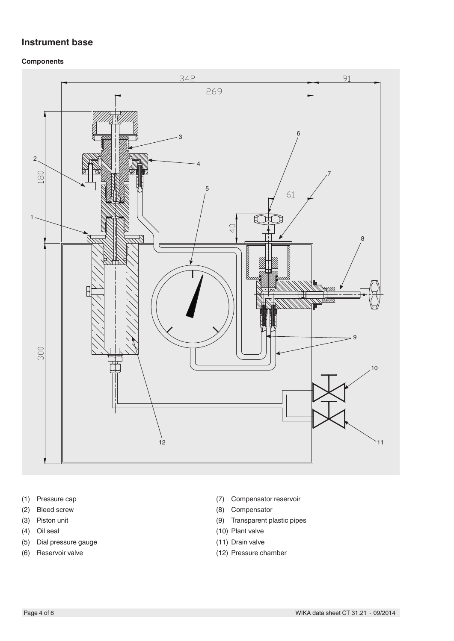### **Instrument base**

#### **Components**



- (1) Pressure cap
- (2) Bleed screw
- (3) Piston unit
- (4) Oil seal
- (5) Dial pressure gauge
- (6) Reservoir valve
- (7) Compensator reservoir
- (8) Compensator
- (9) Transparent plastic pipes
- (10) Plant valve
- (11) Drain valve
- (12) Pressure chamber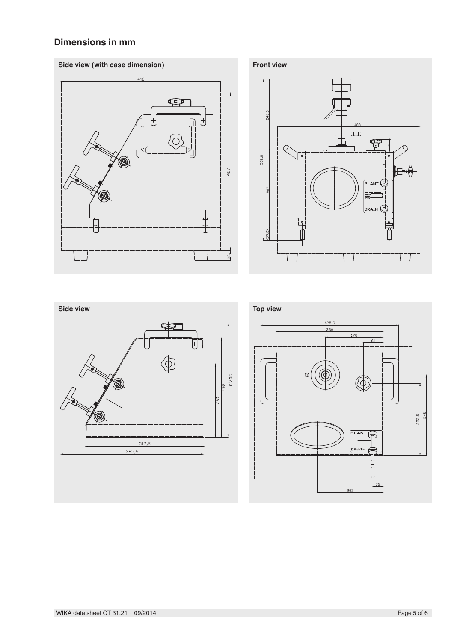## **Dimensions in mm**





222,5

178

 $\overline{\mathbf{a}}$ NT E

DRAIN

61